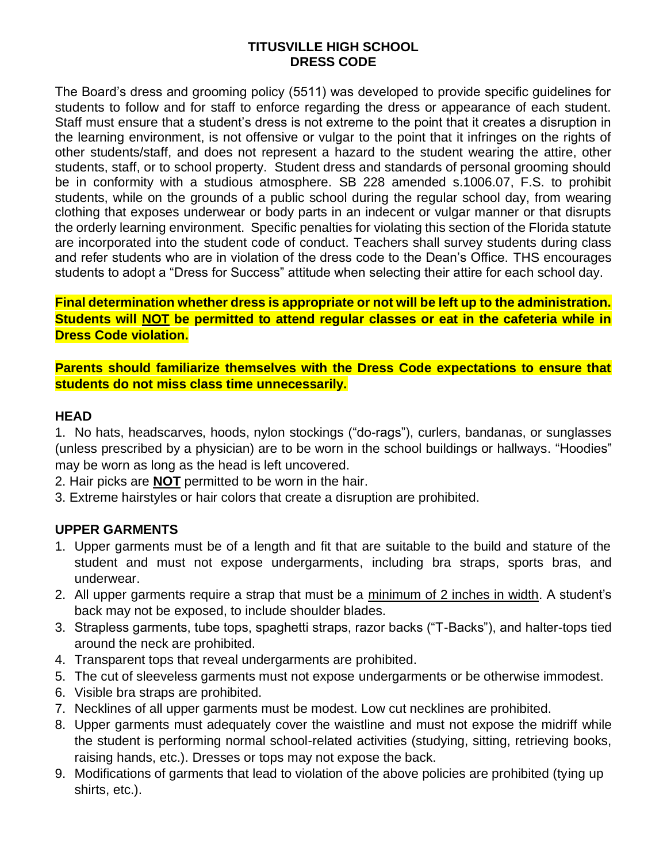#### **TITUSVILLE HIGH SCHOOL DRESS CODE**

The Board's dress and grooming policy (5511) was developed to provide specific guidelines for students to follow and for staff to enforce regarding the dress or appearance of each student. Staff must ensure that a student's dress is not extreme to the point that it creates a disruption in the learning environment, is not offensive or vulgar to the point that it infringes on the rights of other students/staff, and does not represent a hazard to the student wearing the attire, other students, staff, or to school property. Student dress and standards of personal grooming should be in conformity with a studious atmosphere. SB 228 amended s.1006.07, F.S. to prohibit students, while on the grounds of a public school during the regular school day, from wearing clothing that exposes underwear or body parts in an indecent or vulgar manner or that disrupts the orderly learning environment. Specific penalties for violating this section of the Florida statute are incorporated into the student code of conduct. Teachers shall survey students during class and refer students who are in violation of the dress code to the Dean's Office. THS encourages students to adopt a "Dress for Success" attitude when selecting their attire for each school day.

**Final determination whether dress is appropriate or not will be left up to the administration. Students will NOT be permitted to attend regular classes or eat in the cafeteria while in Dress Code violation.**

**Parents should familiarize themselves with the Dress Code expectations to ensure that students do not miss class time unnecessarily.**

#### **HEAD**

1. No hats, headscarves, hoods, nylon stockings ("do-rags"), curlers, bandanas, or sunglasses (unless prescribed by a physician) are to be worn in the school buildings or hallways. "Hoodies" may be worn as long as the head is left uncovered.

- 2. Hair picks are **NOT** permitted to be worn in the hair.
- 3. Extreme hairstyles or hair colors that create a disruption are prohibited.

### **UPPER GARMENTS**

- 1. Upper garments must be of a length and fit that are suitable to the build and stature of the student and must not expose undergarments, including bra straps, sports bras, and underwear.
- 2. All upper garments require a strap that must be a minimum of 2 inches in width. A student's back may not be exposed, to include shoulder blades.
- 3. Strapless garments, tube tops, spaghetti straps, razor backs ("T-Backs"), and halter-tops tied around the neck are prohibited.
- 4. Transparent tops that reveal undergarments are prohibited.
- 5. The cut of sleeveless garments must not expose undergarments or be otherwise immodest.
- 6. Visible bra straps are prohibited.
- 7. Necklines of all upper garments must be modest. Low cut necklines are prohibited.
- 8. Upper garments must adequately cover the waistline and must not expose the midriff while the student is performing normal school-related activities (studying, sitting, retrieving books, raising hands, etc.). Dresses or tops may not expose the back.
- 9. Modifications of garments that lead to violation of the above policies are prohibited (tying up shirts, etc.).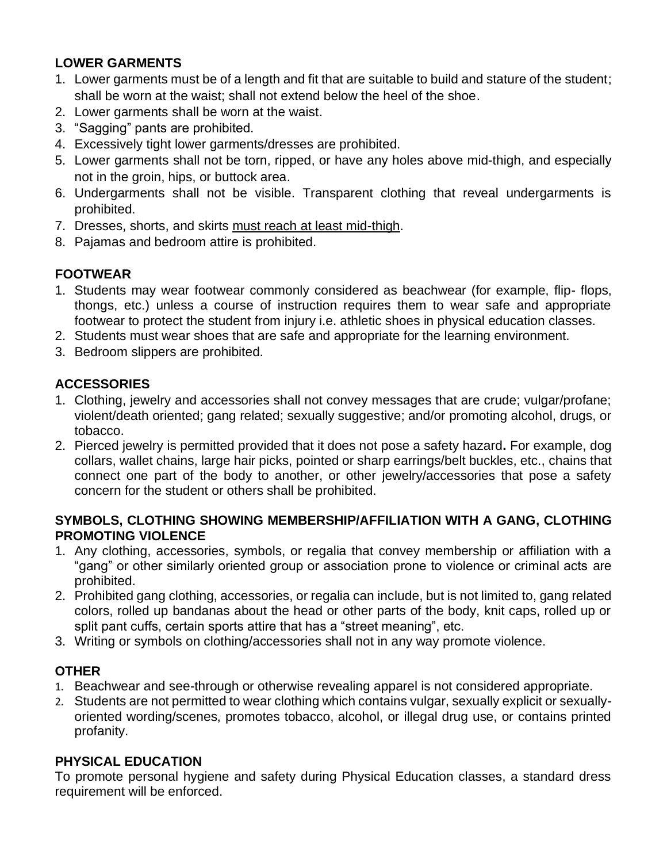## **LOWER GARMENTS**

- 1. Lower garments must be of a length and fit that are suitable to build and stature of the student; shall be worn at the waist; shall not extend below the heel of the shoe.
- 2. Lower garments shall be worn at the waist.
- 3. "Sagging" pants are prohibited.
- 4. Excessively tight lower garments/dresses are prohibited.
- 5. Lower garments shall not be torn, ripped, or have any holes above mid-thigh, and especially not in the groin, hips, or buttock area.
- 6. Undergarments shall not be visible. Transparent clothing that reveal undergarments is prohibited.
- 7. Dresses, shorts, and skirts must reach at least mid-thigh.
- 8. Pajamas and bedroom attire is prohibited.

# **FOOTWEAR**

- 1. Students may wear footwear commonly considered as beachwear (for example, flip- flops, thongs, etc.) unless a course of instruction requires them to wear safe and appropriate footwear to protect the student from injury i.e. athletic shoes in physical education classes.
- 2. Students must wear shoes that are safe and appropriate for the learning environment.
- 3. Bedroom slippers are prohibited.

# **ACCESSORIES**

- 1. Clothing, jewelry and accessories shall not convey messages that are crude; vulgar/profane; violent/death oriented; gang related; sexually suggestive; and/or promoting alcohol, drugs, or tobacco.
- 2. Pierced jewelry is permitted provided that it does not pose a safety hazard**.** For example, dog collars, wallet chains, large hair picks, pointed or sharp earrings/belt buckles, etc., chains that connect one part of the body to another, or other jewelry/accessories that pose a safety concern for the student or others shall be prohibited.

### **SYMBOLS, CLOTHING SHOWING MEMBERSHIP/AFFILIATION WITH A GANG, CLOTHING PROMOTING VIOLENCE**

- 1. Any clothing, accessories, symbols, or regalia that convey membership or affiliation with a "gang" or other similarly oriented group or association prone to violence or criminal acts are prohibited.
- 2. Prohibited gang clothing, accessories, or regalia can include, but is not limited to, gang related colors, rolled up bandanas about the head or other parts of the body, knit caps, rolled up or split pant cuffs, certain sports attire that has a "street meaning", etc.
- 3. Writing or symbols on clothing/accessories shall not in any way promote violence.

## **OTHER**

- 1. Beachwear and see-through or otherwise revealing apparel is not considered appropriate.
- 2. Students are not permitted to wear clothing which contains vulgar, sexually explicit or sexuallyoriented wording/scenes, promotes tobacco, alcohol, or illegal drug use, or contains printed profanity.

## **PHYSICAL EDUCATION**

To promote personal hygiene and safety during Physical Education classes, a standard dress requirement will be enforced.